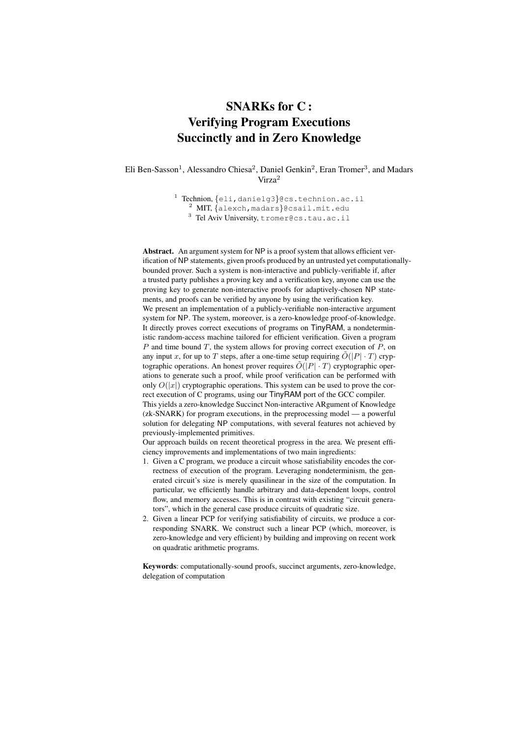# SNARKs for C : Verifying Program Executions Succinctly and in Zero Knowledge

Eli Ben-Sasson<sup>1</sup>, Alessandro Chiesa<sup>2</sup>, Daniel Genkin<sup>2</sup>, Eran Tromer<sup>3</sup>, and Madars Virza<sup>2</sup>

> <sup>1</sup> Technion, {eli,danielg3}@cs.technion.ac.il <sup>2</sup> MIT, {alexch,madars}@csail.mit.edu

<sup>3</sup> Tel Aviv University, tromer@cs.tau.ac.il

Abstract. An argument system for NP is a proof system that allows efficient verification of NP statements, given proofs produced by an untrusted yet computationallybounded prover. Such a system is non-interactive and publicly-verifiable if, after a trusted party publishes a proving key and a verification key, anyone can use the proving key to generate non-interactive proofs for adaptively-chosen NP statements, and proofs can be verified by anyone by using the verification key. We present an implementation of a publicly-verifiable non-interactive argument system for NP. The system, moreover, is a zero-knowledge proof-of-knowledge. It directly proves correct executions of programs on TinyRAM, a nondeterministic random-access machine tailored for efficient verification. Given a program  $P$  and time bound  $T$ , the system allows for proving correct execution of  $P$ , on any input x, for up to T steps, after a one-time setup requiring  $\tilde{O}(|P| \cdot T)$  cryptographic operations. An honest prover requires  $\tilde{O}(|P| \cdot T)$  cryptographic operations to generate such a proof, while proof verification can be performed with only  $O(|x|)$  cryptographic operations. This system can be used to prove the correct execution of C programs, using our TinyRAM port of the GCC compiler. This yields a zero-knowledge Succinct Non-interactive ARgument of Knowledge

(zk-SNARK) for program executions, in the preprocessing model — a powerful solution for delegating NP computations, with several features not achieved by previously-implemented primitives.

Our approach builds on recent theoretical progress in the area. We present efficiency improvements and implementations of two main ingredients:

- 1. Given a C program, we produce a circuit whose satisfiability encodes the correctness of execution of the program. Leveraging nondeterminism, the generated circuit's size is merely quasilinear in the size of the computation. In particular, we efficiently handle arbitrary and data-dependent loops, control flow, and memory accesses. This is in contrast with existing "circuit generators", which in the general case produce circuits of quadratic size.
- 2. Given a linear PCP for verifying satisfiability of circuits, we produce a corresponding SNARK. We construct such a linear PCP (which, moreover, is zero-knowledge and very efficient) by building and improving on recent work on quadratic arithmetic programs.

Keywords: computationally-sound proofs, succinct arguments, zero-knowledge, delegation of computation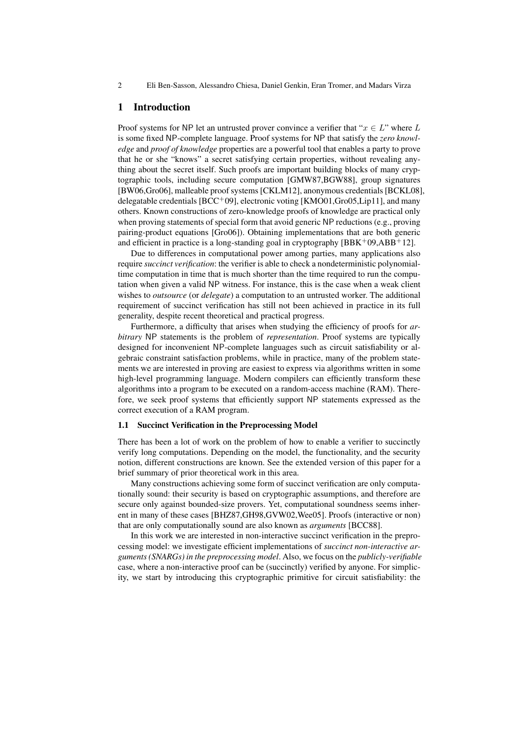## 1 Introduction

Proof systems for NP let an untrusted prover convince a verifier that " $x \in L$ " where L is some fixed NP-complete language. Proof systems for NP that satisfy the *zero knowledge* and *proof of knowledge* properties are a powerful tool that enables a party to prove that he or she "knows" a secret satisfying certain properties, without revealing anything about the secret itself. Such proofs are important building blocks of many cryptographic tools, including secure computation [GMW87,BGW88], group signatures [BW06,Gro06], malleable proof systems [CKLM12], anonymous credentials [BCKL08], delegatable credentials  $[BCC^+09]$ , electronic voting  $[KMO01, Gro05, Lip11]$ , and many others. Known constructions of zero-knowledge proofs of knowledge are practical only when proving statements of special form that avoid generic NP reductions (e.g., proving pairing-product equations [Gro06]). Obtaining implementations that are both generic and efficient in practice is a long-standing goal in cryptography  $[BBK^+09, ABB^+12]$ .

Due to differences in computational power among parties, many applications also require *succinct verification*: the verifier is able to check a nondeterministic polynomialtime computation in time that is much shorter than the time required to run the computation when given a valid NP witness. For instance, this is the case when a weak client wishes to *outsource* (or *delegate*) a computation to an untrusted worker. The additional requirement of succinct verification has still not been achieved in practice in its full generality, despite recent theoretical and practical progress.

Furthermore, a difficulty that arises when studying the efficiency of proofs for *arbitrary* NP statements is the problem of *representation*. Proof systems are typically designed for inconvenient NP-complete languages such as circuit satisfiability or algebraic constraint satisfaction problems, while in practice, many of the problem statements we are interested in proving are easiest to express via algorithms written in some high-level programming language. Modern compilers can efficiently transform these algorithms into a program to be executed on a random-access machine (RAM). Therefore, we seek proof systems that efficiently support NP statements expressed as the correct execution of a RAM program.

### 1.1 Succinct Verification in the Preprocessing Model

There has been a lot of work on the problem of how to enable a verifier to succinctly verify long computations. Depending on the model, the functionality, and the security notion, different constructions are known. See the extended version of this paper for a brief summary of prior theoretical work in this area.

Many constructions achieving some form of succinct verification are only computationally sound: their security is based on cryptographic assumptions, and therefore are secure only against bounded-size provers. Yet, computational soundness seems inherent in many of these cases [BHZ87,GH98,GVW02,Wee05]. Proofs (interactive or non) that are only computationally sound are also known as *arguments* [BCC88].

In this work we are interested in non-interactive succinct verification in the preprocessing model: we investigate efficient implementations of *succinct non-interactive arguments (SNARGs) in the preprocessing model*. Also, we focus on the *publicly-verifiable* case, where a non-interactive proof can be (succinctly) verified by anyone. For simplicity, we start by introducing this cryptographic primitive for circuit satisfiability: the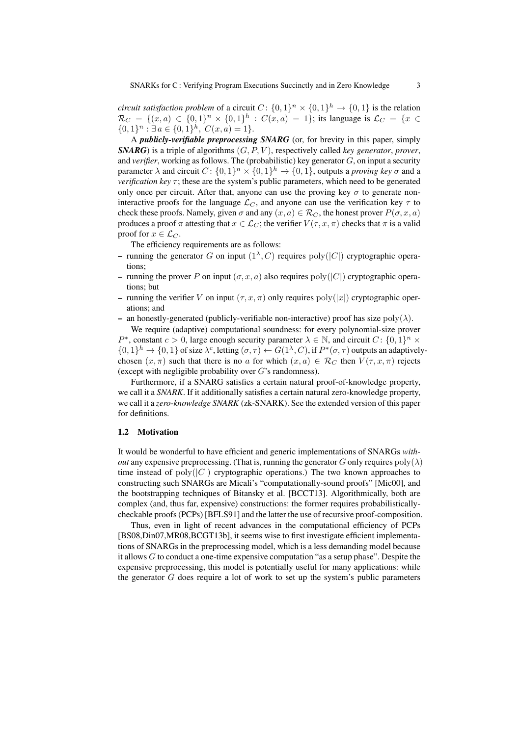*circuit satisfaction problem* of a circuit  $C: \{0,1\}^n \times \{0,1\}^h \rightarrow \{0,1\}$  is the relation  $\mathcal{R}_C = \{(x, a) \in \{0, 1\}^n \times \{0, 1\}^h : C(x, a) = 1\};$  its language is  $\mathcal{L}_C = \{x \in$  $\{0,1\}^n : \exists a \in \{0,1\}^h, C(x,a) = 1\}.$ 

A *publicly-verifiable preprocessing SNARG* (or, for brevity in this paper, simply *SNARG*) is a triple of algorithms (G, P, V ), respectively called *key generator*, *prover*, and *verifier*, working as follows. The (probabilistic) key generator G, on input a security parameter  $\lambda$  and circuit  $C: \{0,1\}^n \times \{0,1\}^h \rightarrow \{0,1\}$ , outputs a *proving key*  $\sigma$  and a *verification key*  $\tau$ ; these are the system's public parameters, which need to be generated only once per circuit. After that, anyone can use the proving key  $\sigma$  to generate noninteractive proofs for the language  $\mathcal{L}_C$ , and anyone can use the verification key  $\tau$  to check these proofs. Namely, given  $\sigma$  and any  $(x, a) \in \mathcal{R}_{C}$ , the honest prover  $P(\sigma, x, a)$ produces a proof  $\pi$  attesting that  $x \in \mathcal{L}_C$ ; the verifier  $V(\tau, x, \pi)$  checks that  $\pi$  is a valid proof for  $x \in \mathcal{L}_C$ .

The efficiency requirements are as follows:

- running the generator G on input  $(1^{\lambda}, C)$  requires  $poly(|C|)$  cryptographic operations;
- running the prover P on input  $(\sigma, x, a)$  also requires  $poly(|C|)$  cryptographic operations; but
- running the verifier V on input  $(\tau, x, \pi)$  only requires  $poly(|x|)$  cryptographic operations; and
- an honestly-generated (publicly-verifiable non-interactive) proof has size  $poly(\lambda)$ .

We require (adaptive) computational soundness: for every polynomial-size prover P<sup>\*</sup>, constant  $c > 0$ , large enough security parameter  $\lambda \in \mathbb{N}$ , and circuit  $C: \{0, 1\}^n \times$  $\{0,1\}^h \to \{0,1\}$  of size  $\lambda^c$ , letting  $(\sigma, \tau) \leftarrow G(1^{\lambda}, C)$ , if  $P^*(\sigma, \tau)$  outputs an adaptivelychosen  $(x, \pi)$  such that there is no a for which  $(x, a) \in \mathcal{R}_C$  then  $V(\tau, x, \pi)$  rejects (except with negligible probability over  $G$ 's randomness).

Furthermore, if a SNARG satisfies a certain natural proof-of-knowledge property, we call it a *SNARK*. If it additionally satisfies a certain natural zero-knowledge property, we call it a *zero-knowledge SNARK* (zk-SNARK). See the extended version of this paper for definitions.

#### 1.2 Motivation

It would be wonderful to have efficient and generic implementations of SNARGs *without* any expensive preprocessing. (That is, running the generator G only requires  $poly(\lambda)$ time instead of  $poly(|C|)$  cryptographic operations.) The two known approaches to constructing such SNARGs are Micali's "computationally-sound proofs" [Mic00], and the bootstrapping techniques of Bitansky et al. [BCCT13]. Algorithmically, both are complex (and, thus far, expensive) constructions: the former requires probabilisticallycheckable proofs (PCPs) [BFLS91] and the latter the use of recursive proof-composition.

Thus, even in light of recent advances in the computational efficiency of PCPs [BS08,Din07,MR08,BCGT13b], it seems wise to first investigate efficient implementations of SNARGs in the preprocessing model, which is a less demanding model because it allows  $G$  to conduct a one-time expensive computation "as a setup phase". Despite the expensive preprocessing, this model is potentially useful for many applications: while the generator  $G$  does require a lot of work to set up the system's public parameters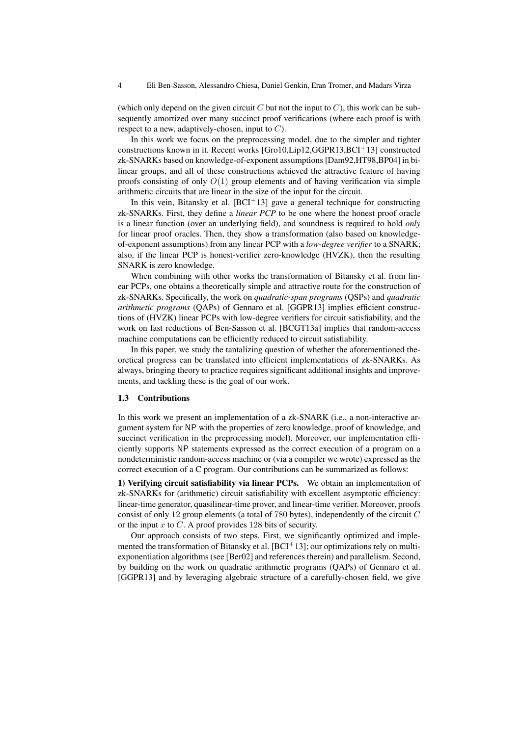(which only depend on the given circuit  $C$  but not the input to  $C$ ), this work can be subsequently amortized over many succinct proof verifications (where each proof is with respect to a new, adaptively-chosen, input to  $C$ ).

In this work we focus on the preprocessing model, due to the simpler and tighter constructions known in it. Recent works [Gro10,Lip12,GGPR13,BCI+13] constructed zk-SNARKs based on knowledge-of-exponent assumptions [Dam92,HT98,BP04] in bilinear groups, and all of these constructions achieved the attractive feature of having proofs consisting of only  $O(1)$  group elements and of having verification via simple arithmetic circuits that are linear in the size of the input for the circuit.

In this vein, Bitansky et al.  $[BCI^+13]$  gave a general technique for constructing zk-SNARKs. First, they define a *linear PCP* to be one where the honest proof oracle is a linear function (over an underlying field), and soundness is required to hold *only* for linear proof oracles. Then, they show a transformation (also based on knowledgeof-exponent assumptions) from any linear PCP with a *low-degree verifier* to a SNARK; also, if the linear PCP is honest-verifier zero-knowledge (HVZK), then the resulting SNARK is zero knowledge.

When combining with other works the transformation of Bitansky et al. from linear PCPs, one obtains a theoretically simple and attractive route for the construction of zk-SNARKs. Specifically, the work on *quadratic-span programs* (QSPs) and *quadratic arithmetic programs* (QAPs) of Gennaro et al. [GGPR13] implies efficient constructions of (HVZK) linear PCPs with low-degree verifiers for circuit satisfiability, and the work on fast reductions of Ben-Sasson et al. [BCGT13a] implies that random-access machine computations can be efficiently reduced to circuit satisfiability.

In this paper, we study the tantalizing question of whether the aforementioned theoretical progress can be translated into efficient implementations of zk-SNARKs. As always, bringing theory to practice requires significant additional insights and improvements, and tackling these is the goal of our work.

## 1.3 Contributions

In this work we present an implementation of a zk-SNARK (i.e., a non-interactive argument system for NP with the properties of zero knowledge, proof of knowledge, and succinct verification in the preprocessing model). Moreover, our implementation efficiently supports NP statements expressed as the correct execution of a program on a nondeterministic random-access machine or (via a compiler we wrote) expressed as the correct execution of a C program. Our contributions can be summarized as follows:

1) Verifying circuit satisfiability via linear PCPs. We obtain an implementation of zk-SNARKs for (arithmetic) circuit satisfiability with excellent asymptotic efficiency: linear-time generator, quasilinear-time prover, and linear-time verifier. Moreover, proofs consist of only 12 group elements (a total of 780 bytes), independently of the circuit  $C$ or the input  $x$  to  $C$ . A proof provides 128 bits of security.

Our approach consists of two steps. First, we significantly optimized and implemented the transformation of Bitansky et al.  $[BCI^+13]$ ; our optimizations rely on multiexponentiation algorithms (see [Ber02] and references therein) and parallelism. Second, by building on the work on quadratic arithmetic programs (QAPs) of Gennaro et al. [GGPR13] and by leveraging algebraic structure of a carefully-chosen field, we give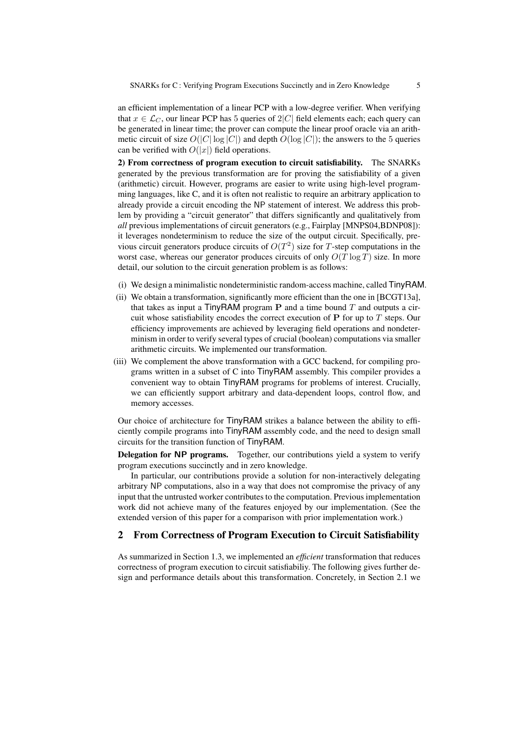an efficient implementation of a linear PCP with a low-degree verifier. When verifying that  $x \in \mathcal{L}_C$ , our linear PCP has 5 queries of  $2|C|$  field elements each; each query can be generated in linear time; the prover can compute the linear proof oracle via an arithmetic circuit of size  $O(|C| \log |C|)$  and depth  $O(\log |C|)$ ; the answers to the 5 queries can be verified with  $O(|x|)$  field operations.

2) From correctness of program execution to circuit satisfiability. The SNARKs generated by the previous transformation are for proving the satisfiability of a given (arithmetic) circuit. However, programs are easier to write using high-level programming languages, like C, and it is often not realistic to require an arbitrary application to already provide a circuit encoding the NP statement of interest. We address this problem by providing a "circuit generator" that differs significantly and qualitatively from *all* previous implementations of circuit generators (e.g., Fairplay [MNPS04,BDNP08]): it leverages nondeterminism to reduce the size of the output circuit. Specifically, previous circuit generators produce circuits of  $O(T^2)$  size for T-step computations in the worst case, whereas our generator produces circuits of only  $O(T \log T)$  size. In more detail, our solution to the circuit generation problem is as follows:

- (i) We design a minimalistic nondeterministic random-access machine, called TinyRAM.
- (ii) We obtain a transformation, significantly more efficient than the one in [BCGT13a], that takes as input a TinyRAM program  $P$  and a time bound  $T$  and outputs a circuit whose satisfiability encodes the correct execution of  $P$  for up to  $T$  steps. Our efficiency improvements are achieved by leveraging field operations and nondeterminism in order to verify several types of crucial (boolean) computations via smaller arithmetic circuits. We implemented our transformation.
- (iii) We complement the above transformation with a GCC backend, for compiling programs written in a subset of C into TinyRAM assembly. This compiler provides a convenient way to obtain TinyRAM programs for problems of interest. Crucially, we can efficiently support arbitrary and data-dependent loops, control flow, and memory accesses.

Our choice of architecture for TinyRAM strikes a balance between the ability to efficiently compile programs into TinyRAM assembly code, and the need to design small circuits for the transition function of TinyRAM.

Delegation for NP programs. Together, our contributions yield a system to verify program executions succinctly and in zero knowledge.

In particular, our contributions provide a solution for non-interactively delegating arbitrary NP computations, also in a way that does not compromise the privacy of any input that the untrusted worker contributes to the computation. Previous implementation work did not achieve many of the features enjoyed by our implementation. (See the extended version of this paper for a comparison with prior implementation work.)

### 2 From Correctness of Program Execution to Circuit Satisfiability

As summarized in Section 1.3, we implemented an *efficient* transformation that reduces correctness of program execution to circuit satisfiabiliy. The following gives further design and performance details about this transformation. Concretely, in Section 2.1 we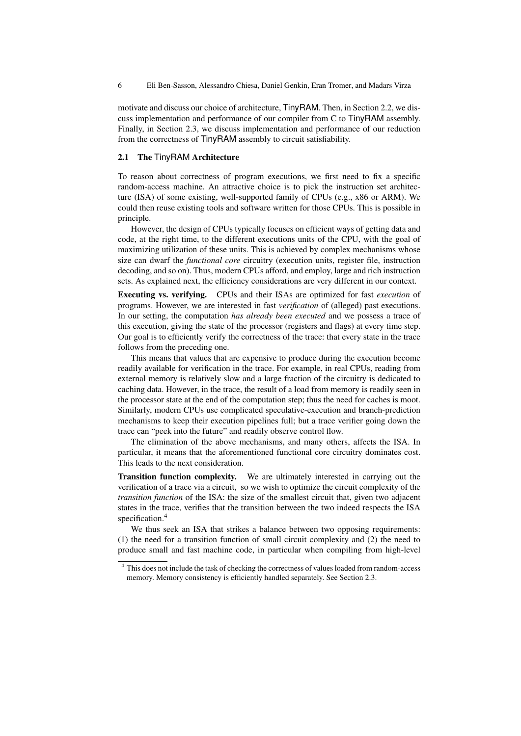motivate and discuss our choice of architecture, TinyRAM. Then, in Section 2.2, we discuss implementation and performance of our compiler from C to TinyRAM assembly. Finally, in Section 2.3, we discuss implementation and performance of our reduction from the correctness of TinyRAM assembly to circuit satisfiability.

## 2.1 The TinyRAM Architecture

To reason about correctness of program executions, we first need to fix a specific random-access machine. An attractive choice is to pick the instruction set architecture (ISA) of some existing, well-supported family of CPUs (e.g., x86 or ARM). We could then reuse existing tools and software written for those CPUs. This is possible in principle.

However, the design of CPUs typically focuses on efficient ways of getting data and code, at the right time, to the different executions units of the CPU, with the goal of maximizing utilization of these units. This is achieved by complex mechanisms whose size can dwarf the *functional core* circuitry (execution units, register file, instruction decoding, and so on). Thus, modern CPUs afford, and employ, large and rich instruction sets. As explained next, the efficiency considerations are very different in our context.

Executing vs. verifying. CPUs and their ISAs are optimized for fast *execution* of programs. However, we are interested in fast *verification* of (alleged) past executions. In our setting, the computation *has already been executed* and we possess a trace of this execution, giving the state of the processor (registers and flags) at every time step. Our goal is to efficiently verify the correctness of the trace: that every state in the trace follows from the preceding one.

This means that values that are expensive to produce during the execution become readily available for verification in the trace. For example, in real CPUs, reading from external memory is relatively slow and a large fraction of the circuitry is dedicated to caching data. However, in the trace, the result of a load from memory is readily seen in the processor state at the end of the computation step; thus the need for caches is moot. Similarly, modern CPUs use complicated speculative-execution and branch-prediction mechanisms to keep their execution pipelines full; but a trace verifier going down the trace can "peek into the future" and readily observe control flow.

The elimination of the above mechanisms, and many others, affects the ISA. In particular, it means that the aforementioned functional core circuitry dominates cost. This leads to the next consideration.

Transition function complexity. We are ultimately interested in carrying out the verification of a trace via a circuit, so we wish to optimize the circuit complexity of the *transition function* of the ISA: the size of the smallest circuit that, given two adjacent states in the trace, verifies that the transition between the two indeed respects the ISA specification.<sup>4</sup>

We thus seek an ISA that strikes a balance between two opposing requirements: (1) the need for a transition function of small circuit complexity and (2) the need to produce small and fast machine code, in particular when compiling from high-level

<sup>4</sup> This does not include the task of checking the correctness of values loaded from random-access memory. Memory consistency is efficiently handled separately. See Section 2.3.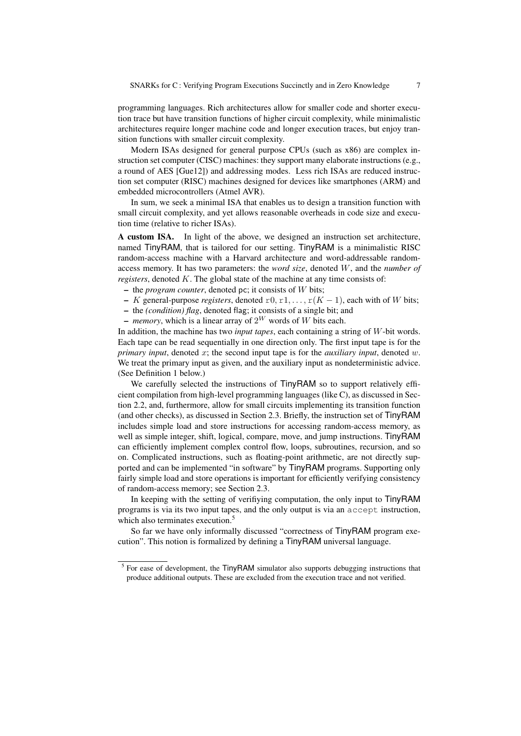programming languages. Rich architectures allow for smaller code and shorter execution trace but have transition functions of higher circuit complexity, while minimalistic architectures require longer machine code and longer execution traces, but enjoy transition functions with smaller circuit complexity.

Modern ISAs designed for general purpose CPUs (such as x86) are complex instruction set computer (CISC) machines: they support many elaborate instructions (e.g., a round of AES [Gue12]) and addressing modes. Less rich ISAs are reduced instruction set computer (RISC) machines designed for devices like smartphones (ARM) and embedded microcontrollers (Atmel AVR).

In sum, we seek a minimal ISA that enables us to design a transition function with small circuit complexity, and yet allows reasonable overheads in code size and execution time (relative to richer ISAs).

A custom ISA. In light of the above, we designed an instruction set architecture, named TinyRAM, that is tailored for our setting. TinyRAM is a minimalistic RISC random-access machine with a Harvard architecture and word-addressable randomaccess memory. It has two parameters: the *word size*, denoted W, and the *number of registers*, denoted K. The global state of the machine at any time consists of:

– the *program counter*, denoted pc; it consists of W bits;

- *K* general-purpose *registers*, denoted  $r$ 0,  $r$ 1, . . . ,  $r$ (*K* − 1), each with of *W* bits;
- the *(condition) flag*, denoted flag; it consists of a single bit; and

– *memory*, which is a linear array of  $2^W$  words of W bits each.

In addition, the machine has two *input tapes*, each containing a string of W-bit words. Each tape can be read sequentially in one direction only. The first input tape is for the *primary input*, denoted x; the second input tape is for the *auxiliary input*, denoted w. We treat the primary input as given, and the auxiliary input as nondeterministic advice. (See Definition 1 below.)

We carefully selected the instructions of TinyRAM so to support relatively efficient compilation from high-level programming languages (like C), as discussed in Section 2.2, and, furthermore, allow for small circuits implementing its transition function (and other checks), as discussed in Section 2.3. Briefly, the instruction set of TinyRAM includes simple load and store instructions for accessing random-access memory, as well as simple integer, shift, logical, compare, move, and jump instructions. TinyRAM can efficiently implement complex control flow, loops, subroutines, recursion, and so on. Complicated instructions, such as floating-point arithmetic, are not directly supported and can be implemented "in software" by TinyRAM programs. Supporting only fairly simple load and store operations is important for efficiently verifying consistency of random-access memory; see Section 2.3.

In keeping with the setting of verifiying computation, the only input to TinyRAM programs is via its two input tapes, and the only output is via an accept instruction, which also terminates execution.<sup>5</sup>

So far we have only informally discussed "correctness of TinyRAM program execution". This notion is formalized by defining a TinyRAM universal language.

<sup>&</sup>lt;sup>5</sup> For ease of development, the TinyRAM simulator also supports debugging instructions that produce additional outputs. These are excluded from the execution trace and not verified.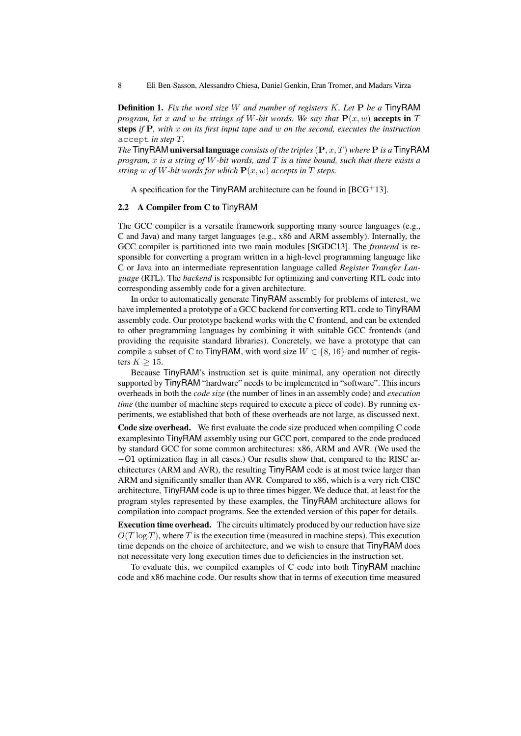Definition 1. *Fix the word size* W *and number of registers* K*. Let* P *be a* TinyRAM *program, let* x and w be strings of W-bit words. We say that  $P(x, w)$  accepts in T steps *if* P*, with* x *on its first input tape and* w *on the second, executes the instruction* accept *in step* T*.*

*The* TinyRAM universal language *consists of the triples*(P, x, T) *where* P *is a* TinyRAM *program,* x *is a string of* W*-bit words, and* T *is a time bound, such that there exists a string* w of *W*-bit words for which  $P(x, w)$  accepts in T steps.

A specification for the TinyRAM architecture can be found in  $[BCG^+13]$ .

#### 2.2 A Compiler from C to TinyRAM

The GCC compiler is a versatile framework supporting many source languages (e.g., C and Java) and many target languages (e.g., x86 and ARM assembly). Internally, the GCC compiler is partitioned into two main modules [StGDC13]. The *frontend* is responsible for converting a program written in a high-level programming language like C or Java into an intermediate representation language called *Register Transfer Language* (RTL). The *backend* is responsible for optimizing and converting RTL code into corresponding assembly code for a given architecture.

In order to automatically generate TinyRAM assembly for problems of interest, we have implemented a prototype of a GCC backend for converting RTL code to TinyRAM assembly code. Our prototype backend works with the C frontend, and can be extended to other programming languages by combining it with suitable GCC frontends (and providing the requisite standard libraries). Concretely, we have a prototype that can compile a subset of C to TinyRAM, with word size  $W \in \{8, 16\}$  and number of registers  $K > 15$ .

Because TinyRAM's instruction set is quite minimal, any operation not directly supported by TinyRAM "hardware" needs to be implemented in "software". This incurs overheads in both the *code size* (the number of lines in an assembly code) and *execution time* (the number of machine steps required to execute a piece of code). By running experiments, we established that both of these overheads are not large, as discussed next.

Code size overhead. We first evaluate the code size produced when compiling C code examplesinto TinyRAM assembly using our GCC port, compared to the code produced by standard GCC for some common architectures: x86, ARM and AVR. (We used the −O1 optimization flag in all cases.) Our results show that, compared to the RISC architectures (ARM and AVR), the resulting TinyRAM code is at most twice larger than ARM and significantly smaller than AVR. Compared to x86, which is a very rich CISC architecture, TinyRAM code is up to three times bigger. We deduce that, at least for the program styles represented by these examples, the TinyRAM architecture allows for compilation into compact programs. See the extended version of this paper for details.

Execution time overhead. The circuits ultimately produced by our reduction have size  $O(T \log T)$ , where T is the execution time (measured in machine steps). This execution time depends on the choice of architecture, and we wish to ensure that TinyRAM does not necessitate very long execution times due to deficiencies in the instruction set.

To evaluate this, we compiled examples of C code into both TinyRAM machine code and x86 machine code. Our results show that in terms of execution time measured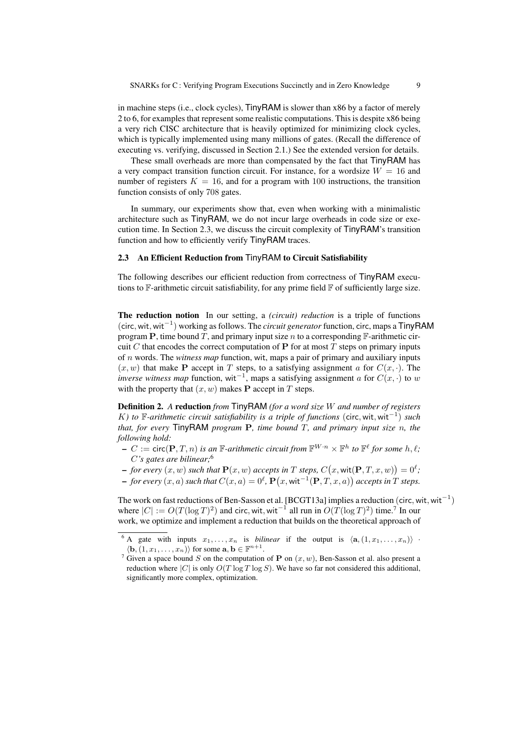in machine steps (i.e., clock cycles), TinyRAM is slower than x86 by a factor of merely 2 to 6, for examples that represent some realistic computations. This is despite x86 being a very rich CISC architecture that is heavily optimized for minimizing clock cycles, which is typically implemented using many millions of gates. (Recall the difference of executing vs. verifying, discussed in Section 2.1.) See the extended version for details.

These small overheads are more than compensated by the fact that TinyRAM has a very compact transition function circuit. For instance, for a wordsize  $W = 16$  and number of registers  $K = 16$ , and for a program with 100 instructions, the transition function consists of only 708 gates.

In summary, our experiments show that, even when working with a minimalistic architecture such as TinyRAM, we do not incur large overheads in code size or execution time. In Section 2.3, we discuss the circuit complexity of TinyRAM's transition function and how to efficiently verify TinyRAM traces.

## 2.3 An Efficient Reduction from TinyRAM to Circuit Satisfiability

The following describes our efficient reduction from correctness of TinyRAM executions to  $\mathbb F$ -arithmetic circuit satisfiability, for any prime field  $\mathbb F$  of sufficiently large size.

The reduction notion In our setting, a *(circuit) reduction* is a triple of functions (circ,wit,wit<sup>−</sup><sup>1</sup> ) working as follows. The *circuit generator* function, circ, maps a TinyRAM program P, time bound T, and primary input size  $n$  to a corresponding  $\mathbb{F}$ -arithmetic circuit  $C$  that encodes the correct computation of  $P$  for at most  $T$  steps on primary inputs of n words. The *witness map* function, wit, maps a pair of primary and auxiliary inputs  $(x, w)$  that make P accept in T steps, to a satisfying assignment a for  $C(x, \cdot)$ . The *inverse witness map* function, wit<sup>-1</sup>, maps a satisfying assignment a for  $C(x, \cdot)$  to w with the property that  $(x, w)$  makes **P** accept in T steps.

Definition 2. *A* reduction *from* TinyRAM *(for a word size* W *and number of registers* K*) to* F*-arithmetic circuit satisfiability is a triple of functions* (circ,wit,wit<sup>−</sup><sup>1</sup> ) *such that, for every* TinyRAM *program* P*, time bound* T*, and primary input size* n*, the following hold:*

- $\mathcal{L} = C := \text{circ}(\mathbf{P}, T, n)$  *is an*  $\mathbb{F}\text{-}arithmetic circuit from  $\mathbb{F}^{W \cdot n} \times \mathbb{F}^h$  to  $\mathbb{F}^{\ell}$  for some h,  $\ell$ ;$ C*'s gates are bilinear;*<sup>6</sup>
- $-$  *for every*  $(x, w)$  *such that*  $P(x, w)$  *accepts in*  $T$  *steps,*  $C(x, \text{wit}(P, T, x, w)) = 0^{\ell}$ ;
- $\blacktriangleright$   *for every*  $(x, a)$  *such that*  $C(x, a) = 0^{\ell}$ ,  $\mathbf{P}(x, \text{wit}^{-1}(\mathbf{P}, T, x, a))$  accepts in T steps.

The work on fast reductions of Ben-Sasson et al. [BCGT13a] implies a reduction (circ, wit, wit<sup>-1</sup>) where  $|C| := O(T(\log T)^2)$  and circ, wit, wit<sup>-1</sup> all run in  $O(T(\log T)^2)$  time.<sup>7</sup> In our work, we optimize and implement a reduction that builds on the theoretical approach of

<sup>&</sup>lt;sup>6</sup> A gate with inputs  $x_1, \ldots, x_n$  is *bilinear* if the output is  $\langle \mathbf{a}, (1, x_1, \ldots, x_n) \rangle$ .  $\langle \mathbf{b}, (1, x_1, \dots, x_n) \rangle$  for some  $\mathbf{a}, \mathbf{b} \in \mathbb{F}^{n+1}$ .

<sup>&</sup>lt;sup>7</sup> Given a space bound S on the computation of **P** on  $(x, w)$ , Ben-Sasson et al. also present a reduction where  $|C|$  is only  $O(T \log T \log S)$ . We have so far not considered this additional, significantly more complex, optimization.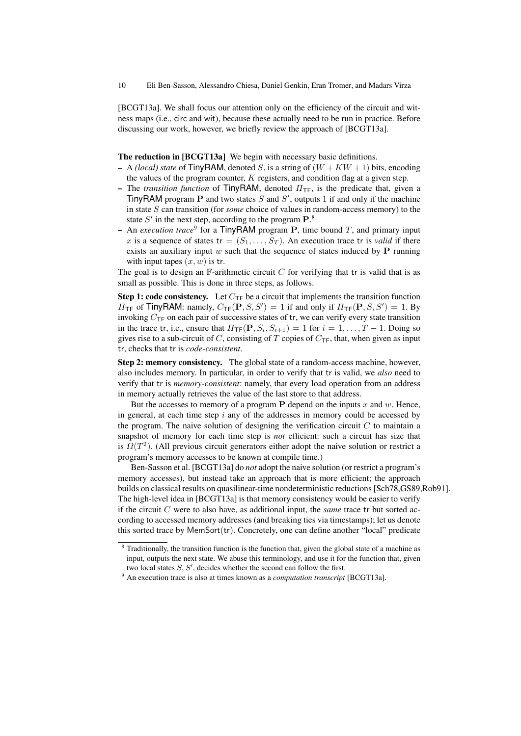[BCGT13a]. We shall focus our attention only on the efficiency of the circuit and witness maps (i.e., circ and wit), because these actually need to be run in practice. Before discussing our work, however, we briefly review the approach of [BCGT13a].

The reduction in [BCGT13a] We begin with necessary basic definitions.

- $A$  *(local) state* of TinyRAM, denoted S, is a string of  $(W + KW + 1)$  bits, encoding the values of the program counter,  $K$  registers, and condition flag at a given step.
- $-$  The *transition function* of TinyRAM, denoted  $\Pi_{\text{TE}}$ , is the predicate that, given a TinyRAM program  $P$  and two states  $S$  and  $S'$ , outputs 1 if and only if the machine in state S can transition (for *some* choice of values in random-access memory) to the state  $S'$  in the next step, according to the program  $\mathbf{P}$ .<sup>8</sup>
- An *execution trace*<sup>9</sup> for a TinyRAM program P, time bound T, and primary input x is a sequence of states  $\mathsf{tr} = (S_1, \ldots, S_T)$ . An execution trace tr is *valid* if there exists an auxiliary input  $w$  such that the sequence of states induced by  $P$  running with input tapes  $(x, w)$  is tr.

The goal is to design an  $\mathbb F$ -arithmetic circuit C for verifying that tr is valid that is as small as possible. This is done in three steps, as follows.

Step 1: code consistency. Let  $C_{\text{TF}}$  be a circuit that implements the transition function  $\Pi_{\mathsf{TF}}$  of TinyRAM: namely,  $C_{\mathsf{TF}}(\mathbf{P},S,S') = 1$  if and only if  $\Pi_{\mathsf{TF}}(\mathbf{P},S,S') = 1$ . By invoking  $C_{\text{TF}}$  on each pair of successive states of tr, we can verify every state transition in the trace tr, i.e., ensure that  $\Pi_{\mathsf{TF}}(\mathbf{P}, S_i, S_{i+1}) = 1$  for  $i = 1, \dots, T-1$ . Doing so gives rise to a sub-circuit of C, consisting of T copies of  $C_{\text{TF}}$ , that, when given as input tr, checks that tr is *code-consistent*.

Step 2: memory consistency. The global state of a random-access machine, however, also includes memory. In particular, in order to verify that tr is valid, we *also* need to verify that tr is *memory-consistent*: namely, that every load operation from an address in memory actually retrieves the value of the last store to that address.

But the accesses to memory of a program  $P$  depend on the inputs x and w. Hence, in general, at each time step  $i$  any of the addresses in memory could be accessed by the program. The naive solution of designing the verification circuit  $C$  to maintain a snapshot of memory for each time step is *not* efficient: such a circuit has size that is  $\Omega(T^2)$ . (All previous circuit generators either adopt the naive solution or restrict a program's memory accesses to be known at compile time.)

Ben-Sasson et al. [BCGT13a] do *not* adopt the naive solution (or restrict a program's memory accesses), but instead take an approach that is more efficient; the approach builds on classical results on quasilinear-time nondeterministic reductions [Sch78,GS89,Rob91]. The high-level idea in [BCGT13a] is that memory consistency would be easier to verify if the circuit C were to also have, as additional input, the *same* trace tr but sorted according to accessed memory addresses (and breaking ties via timestamps); let us denote this sorted trace by MemSort(tr). Concretely, one can define another "local" predicate

<sup>&</sup>lt;sup>8</sup> Traditionally, the transition function is the function that, given the global state of a machine as input, outputs the next state. We abuse this terminology, and use it for the function that, given two local states  $S, S'$ , decides whether the second can follow the first.

<sup>9</sup> An execution trace is also at times known as a *computation transcript* [BCGT13a].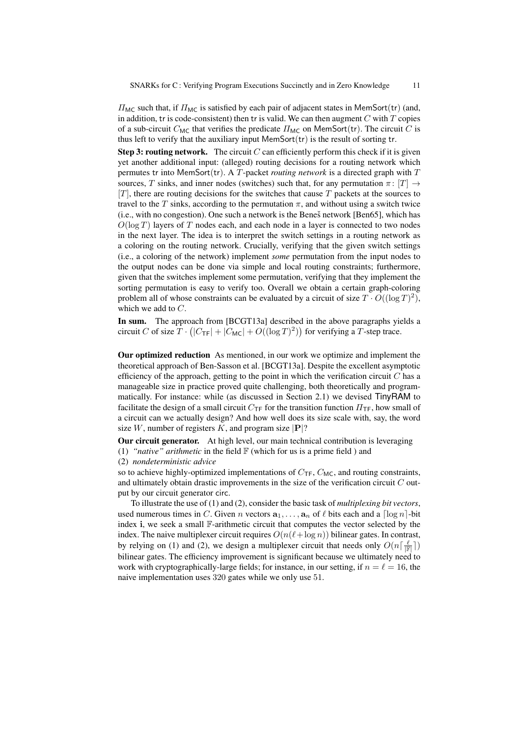$\Pi_{MC}$  such that, if  $\Pi_{MC}$  is satisfied by each pair of adjacent states in MemSort(tr) (and, in addition, tr is code-consistent) then tr is valid. We can then augment  $C$  with  $T$  copies of a sub-circuit  $C_{MC}$  that verifies the predicate  $\Pi_{MC}$  on MemSort(tr). The circuit C is thus left to verify that the auxiliary input MemSort(tr) is the result of sorting tr.

**Step 3: routing network.** The circuit C can efficiently perform this check if it is given yet another additional input: (alleged) routing decisions for a routing network which permutes tr into MemSort(tr). A T-packet *routing network* is a directed graph with T sources, T sinks, and inner nodes (switches) such that, for any permutation  $\pi: [T] \rightarrow$  $[T]$ , there are routing decisions for the switches that cause T packets at the sources to travel to the T sinks, according to the permutation  $\pi$ , and without using a switch twice (i.e., with no congestion). One such a network is the Beneš network [Ben65], which has  $O(\log T)$  layers of T nodes each, and each node in a layer is connected to two nodes in the next layer. The idea is to interpret the switch settings in a routing network as a coloring on the routing network. Crucially, verifying that the given switch settings (i.e., a coloring of the network) implement *some* permutation from the input nodes to the output nodes can be done via simple and local routing constraints; furthermore, given that the switches implement some permutation, verifying that they implement the sorting permutation is easy to verify too. Overall we obtain a certain graph-coloring problem all of whose constraints can be evaluated by a circuit of size  $T \cdot O((\log T)^2)$ , which we add to C.

In sum. The approach from [BCGT13a] described in the above paragraphs yields a circuit C of size  $T \cdot (|C_{\text{TF}}| + |C_{\text{MC}}| + O((\log T)^2))$  for verifying a T-step trace.

Our optimized reduction As mentioned, in our work we optimize and implement the theoretical approach of Ben-Sasson et al. [BCGT13a]. Despite the excellent asymptotic efficiency of the approach, getting to the point in which the verification circuit  $C$  has a manageable size in practice proved quite challenging, both theoretically and programmatically. For instance: while (as discussed in Section 2.1) we devised TinyRAM to facilitate the design of a small circuit  $C_{\text{TF}}$  for the transition function  $\Pi_{\text{TF}}$ , how small of a circuit can we actually design? And how well does its size scale with, say, the word size W, number of registers K, and program size  $|\mathbf{P}|$ ?

Our circuit generator. At high level, our main technical contribution is leveraging (1) *"native" arithmetic* in the field  $\mathbb{F}$  (which for us is a prime field) and

(2) *nondeterministic advice*

so to achieve highly-optimized implementations of  $C_{\text{TF}}$ ,  $C_{\text{MC}}$ , and routing constraints, and ultimately obtain drastic improvements in the size of the verification circuit  $C$  output by our circuit generator circ.

To illustrate the use of (1) and (2), consider the basic task of *multiplexing bit vectors*, used numerous times in C. Given n vectors  $a_1, \ldots, a_n$  of  $\ell$  bits each and a  $\lceil \log n \rceil$ -bit index i, we seek a small  $\mathbb{F}\text{-arithmetic circuit that computes the vector selected by the}$ index. The naive multiplexer circuit requires  $O(n(\ell + \log n))$  bilinear gates. In contrast, by relying on (1) and (2), we design a multiplexer circuit that needs only  $O(n\lceil \frac{\ell}{\lceil \mathbb{F} \rceil})$ bilinear gates. The efficiency improvement is significant because we ultimately need to work with cryptographically-large fields; for instance, in our setting, if  $n = \ell = 16$ , the naive implementation uses 320 gates while we only use 51.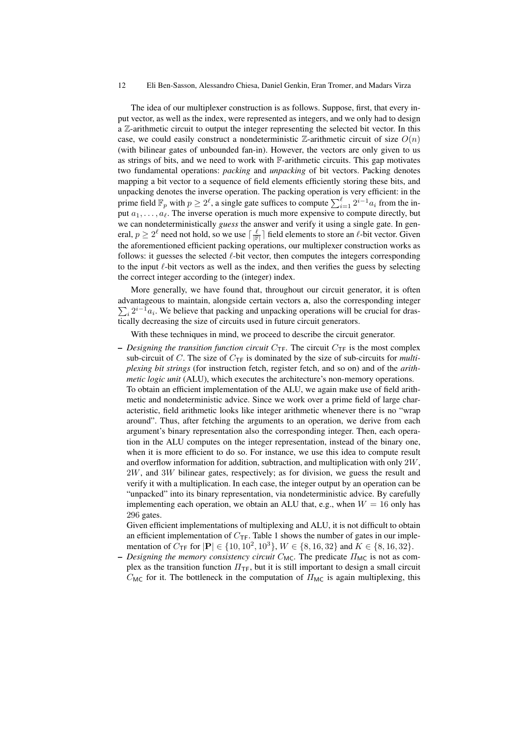The idea of our multiplexer construction is as follows. Suppose, first, that every input vector, as well as the index, were represented as integers, and we only had to design a Z-arithmetic circuit to output the integer representing the selected bit vector. In this case, we could easily construct a nondeterministic  $\mathbb{Z}$ -arithmetic circuit of size  $O(n)$ (with bilinear gates of unbounded fan-in). However, the vectors are only given to us as strings of bits, and we need to work with F-arithmetic circuits. This gap motivates two fundamental operations: *packing* and *unpacking* of bit vectors. Packing denotes mapping a bit vector to a sequence of field elements efficiently storing these bits, and unpacking denotes the inverse operation. The packing operation is very efficient: in the prime field  $\mathbb{F}_p$  with  $p \geq 2^{\ell}$ , a single gate suffices to compute  $\sum_{i=1}^{\ell} 2^{i-1} a_i$  from the input  $a_1, \ldots, a_\ell$ . The inverse operation is much more expensive to compute directly, but we can nondeterministically *guess* the answer and verify it using a single gate. In general,  $p \ge 2^{\ell}$  need not hold, so we use  $\lceil \frac{\ell}{|\mathbb{F}|} \rceil$  field elements to store an  $\ell$ -bit vector. Given the aforementioned efficient packing operations, our multiplexer construction works as follows: it guesses the selected  $\ell$ -bit vector, then computes the integers corresponding to the input  $\ell$ -bit vectors as well as the index, and then verifies the guess by selecting the correct integer according to the (integer) index.

More generally, we have found that, throughout our circuit generator, it is often advantageous to maintain, alongside certain vectors a, also the corresponding integer  $\sum_i 2^{i-1}a_i$ . We believe that packing and unpacking operations will be crucial for drastically decreasing the size of circuits used in future circuit generators.

With these techniques in mind, we proceed to describe the circuit generator.

– *Designing the transition function circuit*  $C_{\text{TF}}$ . The circuit  $C_{\text{TF}}$  is the most complex sub-circuit of C. The size of  $C_{\text{TF}}$  is dominated by the size of sub-circuits for *multiplexing bit strings* (for instruction fetch, register fetch, and so on) and of the *arithmetic logic unit* (ALU), which executes the architecture's non-memory operations. To obtain an efficient implementation of the ALU, we again make use of field arithmetic and nondeterministic advice. Since we work over a prime field of large characteristic, field arithmetic looks like integer arithmetic whenever there is no "wrap around". Thus, after fetching the arguments to an operation, we derive from each argument's binary representation also the corresponding integer. Then, each operation in the ALU computes on the integer representation, instead of the binary one, when it is more efficient to do so. For instance, we use this idea to compute result and overflow information for addition, subtraction, and multiplication with only 2W,  $2W$ , and  $3W$  bilinear gates, respectively; as for division, we guess the result and verify it with a multiplication. In each case, the integer output by an operation can be "unpacked" into its binary representation, via nondeterministic advice. By carefully implementing each operation, we obtain an ALU that, e.g., when  $W = 16$  only has 296 gates.

Given efficient implementations of multiplexing and ALU, it is not difficult to obtain an efficient implementation of  $C_{\text{TF}}$ . Table 1 shows the number of gates in our implementation of  $C_{\text{TF}}$  for  $|\mathbf{P}| \in \{10, 10^2, 10^3\}$ ,  $W \in \{8, 16, 32\}$  and  $K \in \{8, 16, 32\}$ .

– *Designing the memory consistency circuit*  $C_{MC}$ . The predicate  $\Pi_{MC}$  is not as complex as the transition function  $\Pi_{\mathsf{TF}}$ , but it is still important to design a small circuit  $C_{MC}$  for it. The bottleneck in the computation of  $\Pi_{MC}$  is again multiplexing, this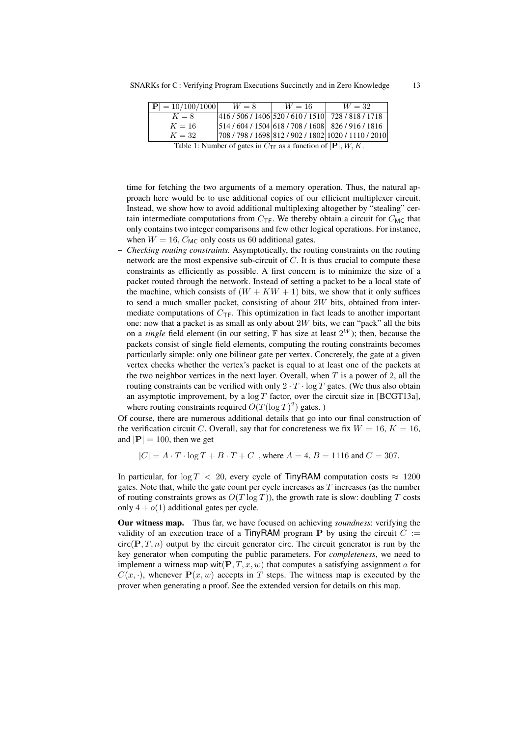| $  \mathbf{P}  = 10/100/1000$ | $W = 8$ | $W=16$ | $W = 32$                                             |
|-------------------------------|---------|--------|------------------------------------------------------|
| $K=8$                         |         |        | $ 416/506/1406 520/610/1510 728/818/1718$            |
| $K=16$                        |         |        | $ 514/604/1504 618/708/1608 826/916/1816$            |
| $K=32$                        |         |        | 708 / 798 / 1698 812 / 902 / 1802 1020 / 1110 / 2010 |

Table 1: Number of gates in  $C_{\text{TF}}$  as a function of  $|\mathbf{P}|, W, K$ .

time for fetching the two arguments of a memory operation. Thus, the natural approach here would be to use additional copies of our efficient multiplexer circuit. Instead, we show how to avoid additional multiplexing altogether by "stealing" certain intermediate computations from  $C_{\text{TF}}$ . We thereby obtain a circuit for  $C_{\text{MC}}$  that only contains two integer comparisons and few other logical operations. For instance, when  $W = 16$ ,  $C_{MC}$  only costs us 60 additional gates.

– *Checking routing constraints.* Asymptotically, the routing constraints on the routing network are the most expensive sub-circuit of C. It is thus crucial to compute these constraints as efficiently as possible. A first concern is to minimize the size of a packet routed through the network. Instead of setting a packet to be a local state of the machine, which consists of  $(W + KW + 1)$  bits, we show that it only suffices to send a much smaller packet, consisting of about 2W bits, obtained from intermediate computations of  $C_{\text{TF}}$ . This optimization in fact leads to another important one: now that a packet is as small as only about  $2W$  bits, we can "pack" all the bits on a *single* field element (in our setting,  $\mathbb F$  has size at least  $2^W$ ); then, because the packets consist of single field elements, computing the routing constraints becomes particularly simple: only one bilinear gate per vertex. Concretely, the gate at a given vertex checks whether the vertex's packet is equal to at least one of the packets at the two neighbor vertices in the next layer. Overall, when  $T$  is a power of 2, all the routing constraints can be verified with only  $2 \cdot T \cdot \log T$  gates. (We thus also obtain an asymptotic improvement, by a  $\log T$  factor, over the circuit size in [BCGT13a], where routing constraints required  $O(T(\log T)^2)$  gates.)

Of course, there are numerous additional details that go into our final construction of the verification circuit C. Overall, say that for concreteness we fix  $W = 16$ ,  $K = 16$ , and  $|\mathbf{P}| = 100$ , then we get

 $|C| = A \cdot T \cdot \log T + B \cdot T + C$ , where  $A = 4$ ,  $B = 1116$  and  $C = 307$ .

In particular, for  $\log T < 20$ , every cycle of TinyRAM computation costs  $\approx 1200$ gates. Note that, while the gate count per cycle increases as  $T$  increases (as the number of routing constraints grows as  $O(T \log T)$ , the growth rate is slow: doubling T costs only  $4 + o(1)$  additional gates per cycle.

Our witness map. Thus far, we have focused on achieving *soundness*: verifying the validity of an execution trace of a TinyRAM program P by using the circuit  $C :=$  $circ(\mathbf{P}, T, n)$  output by the circuit generator circ. The circuit generator is run by the key generator when computing the public parameters. For *completeness*, we need to implement a witness map wit $(P, T, x, w)$  that computes a satisfying assignment a for  $C(x, \cdot)$ , whenever  $\mathbf{P}(x, w)$  accepts in T steps. The witness map is executed by the prover when generating a proof. See the extended version for details on this map.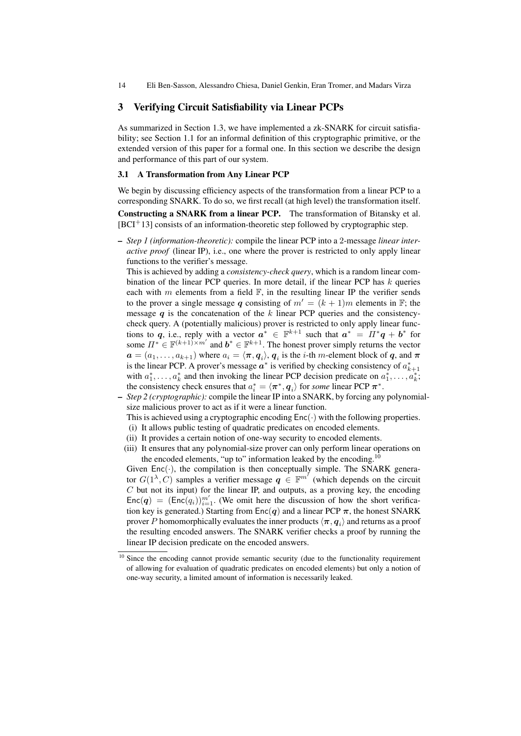## 3 Verifying Circuit Satisfiability via Linear PCPs

As summarized in Section 1.3, we have implemented a zk-SNARK for circuit satisfiability; see Section 1.1 for an informal definition of this cryptographic primitive, or the extended version of this paper for a formal one. In this section we describe the design and performance of this part of our system.

#### 3.1 A Transformation from Any Linear PCP

We begin by discussing efficiency aspects of the transformation from a linear PCP to a corresponding SNARK. To do so, we first recall (at high level) the transformation itself.

Constructing a SNARK from a linear PCP. The transformation of Bitansky et al.  $[BCI<sup>+</sup>13]$  consists of an information-theoretic step followed by cryptographic step.

– *Step 1 (information-theoretic):* compile the linear PCP into a 2-message *linear interactive proof* (linear IP), i.e., one where the prover is restricted to only apply linear functions to the verifier's message.

This is achieved by adding a *consistency-check query*, which is a random linear combination of the linear PCP queries. In more detail, if the linear PCP has  $k$  queries each with m elements from a field  $\mathbb{F}$ , in the resulting linear IP the verifier sends to the prover a single message q consisting of  $m' = (k + 1)m$  elements in F; the message  $q$  is the concatenation of the k linear PCP queries and the consistencycheck query. A (potentially malicious) prover is restricted to only apply linear functions to q, i.e., reply with a vector  $a^* \in \mathbb{F}^{k+1}$  such that  $a^* = \Pi^* q + b^*$  for some  $\overline{H^*} \in \mathbb{F}^{(k+1)\times m'}$  and  $\mathbf{b}^* \in \mathbb{F}^{k+1}$ . The honest prover simply returns the vector  $a = (a_1, \ldots, a_{k+1})$  where  $a_i = \langle \pi, q_i \rangle$ ,  $q_i$  is the *i*-th *m*-element block of  $q$ , and  $\pi$ is the linear PCP. A prover's message  $a^*$  is verified by checking consistency of  $a^*_{k+1}$ with  $a_1^*, \ldots, a_k^*$  and then invoking the linear PCP decision predicate on  $a_1^*, \ldots, a_k^*$ ; the consistency check ensures that  $a_i^* = \langle \pi^*, q_i \rangle$  for *some* linear PCP  $\pi^*$ .

– *Step 2 (cryptographic):* compile the linear IP into a SNARK, by forcing any polynomialsize malicious prover to act as if it were a linear function.

This is achieved using a cryptographic encoding  $Enc(\cdot)$  with the following properties.

- (i) It allows public testing of quadratic predicates on encoded elements.
- (ii) It provides a certain notion of one-way security to encoded elements.
- (iii) It ensures that any polynomial-size prover can only perform linear operations on the encoded elements, "up to" information leaked by the encoding.<sup>10</sup>

Given  $Enc(\cdot)$ , the compilation is then conceptually simple. The SNARK generator  $G(1^{\lambda}, C)$  samples a verifier message  $q \in \mathbb{F}^{m'}$  (which depends on the circuit  $C$  but not its input) for the linear IP, and outputs, as a proving key, the encoding  $Enc(q) = (Enc(q_i))_{i=1}^{m'}$ . (We omit here the discussion of how the short verification key is generated.) Starting from  $Enc(q)$  and a linear PCP  $\pi$ , the honest SNARK prover  $P$  homomorphically evaluates the inner products  $\langle \boldsymbol{\pi}, \boldsymbol{q}_i \rangle$  and returns as a proof the resulting encoded answers. The SNARK verifier checks a proof by running the linear IP decision predicate on the encoded answers.

<sup>&</sup>lt;sup>10</sup> Since the encoding cannot provide semantic security (due to the functionality requirement of allowing for evaluation of quadratic predicates on encoded elements) but only a notion of one-way security, a limited amount of information is necessarily leaked.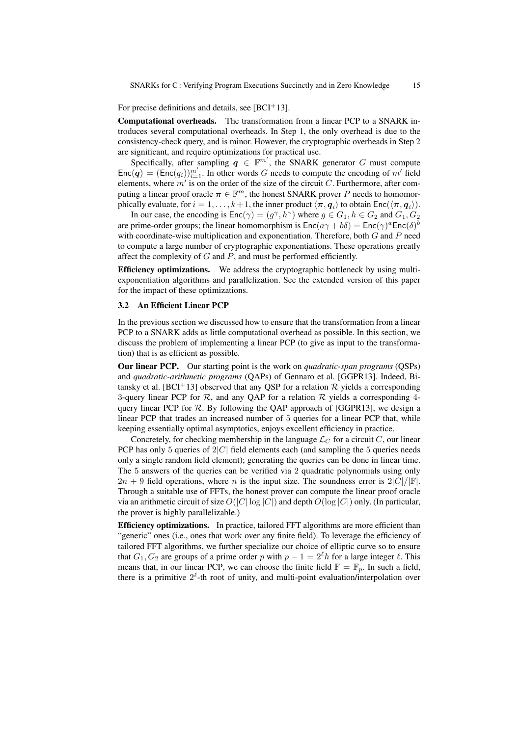For precise definitions and details, see  $[BCI^+13]$ .

Computational overheads. The transformation from a linear PCP to a SNARK introduces several computational overheads. In Step 1, the only overhead is due to the consistency-check query, and is minor. However, the cryptographic overheads in Step 2 are significant, and require optimizations for practical use.

Specifically, after sampling  $q \in \mathbb{F}^{m'}$ , the SNARK generator G must compute  $Enc(\boldsymbol{q}) = (Enc(q_i))_{i=1}^{m'}$ . In other words G needs to compute the encoding of m' field elements, where  $m'$  is on the order of the size of the circuit  $C$ . Furthermore, after computing a linear proof oracle  $\pi \in \mathbb{F}^m$ , the honest SNARK prover P needs to homomorphically evaluate, for  $i = 1, \ldots, k+1$ , the inner product  $\langle \bm{\pi}, \bm{q}_i \rangle$  to obtain Enc $(\langle \bm{\pi}, \bm{q}_i \rangle)$ .

In our case, the encoding is  $\mathsf{Enc}(\gamma) = (g^{\gamma}, h^{\gamma})$  where  $g \in G_1, h \in G_2$  and  $G_1, G_2$ are prime-order groups; the linear homomorphism is  $Enc(a\gamma + b\delta) = Enc(\gamma)^a Enc(\delta)^b$ with coordinate-wise multiplication and exponentiation. Therefore, both  $G$  and  $P$  need to compute a large number of cryptographic exponentiations. These operations greatly affect the complexity of  $G$  and  $P$ , and must be performed efficiently.

Efficiency optimizations. We address the cryptographic bottleneck by using multiexponentiation algorithms and parallelization. See the extended version of this paper for the impact of these optimizations.

#### 3.2 An Efficient Linear PCP

In the previous section we discussed how to ensure that the transformation from a linear PCP to a SNARK adds as little computational overhead as possible. In this section, we discuss the problem of implementing a linear PCP (to give as input to the transformation) that is as efficient as possible.

Our linear PCP. Our starting point is the work on *quadratic-span programs* (QSPs) and *quadratic-arithmetic programs* (QAPs) of Gennaro et al. [GGPR13]. Indeed, Bitansky et al. [BCI<sup>+</sup>13] observed that any QSP for a relation  $R$  yields a corresponding 3-query linear PCP for  $\mathcal R$ , and any OAP for a relation  $\mathcal R$  yields a corresponding 4query linear PCP for  $R$ . By following the QAP approach of [GGPR13], we design a linear PCP that trades an increased number of 5 queries for a linear PCP that, while keeping essentially optimal asymptotics, enjoys excellent efficiency in practice.

Concretely, for checking membership in the language  $\mathcal{L}_C$  for a circuit C, our linear PCP has only 5 queries of  $2|C|$  field elements each (and sampling the 5 queries needs only a single random field element); generating the queries can be done in linear time. The 5 answers of the queries can be verified via 2 quadratic polynomials using only  $2n + 9$  field operations, where n is the input size. The soundness error is  $2|C|/|\mathbb{F}|$ . Through a suitable use of FFTs, the honest prover can compute the linear proof oracle via an arithmetic circuit of size  $O(|C| \log |C|)$  and depth  $O(\log |C|)$  only. (In particular, the prover is highly parallelizable.)

Efficiency optimizations. In practice, tailored FFT algorithms are more efficient than "generic" ones (i.e., ones that work over any finite field). To leverage the efficiency of tailored FFT algorithms, we further specialize our choice of elliptic curve so to ensure that  $G_1, G_2$  are groups of a prime order p with  $p - 1 = 2^{\ell} h$  for a large integer  $\ell$ . This means that, in our linear PCP, we can choose the finite field  $\mathbb{F} = \mathbb{F}_p$ . In such a field, there is a primitive  $2^{\ell}$ -th root of unity, and multi-point evaluation/interpolation over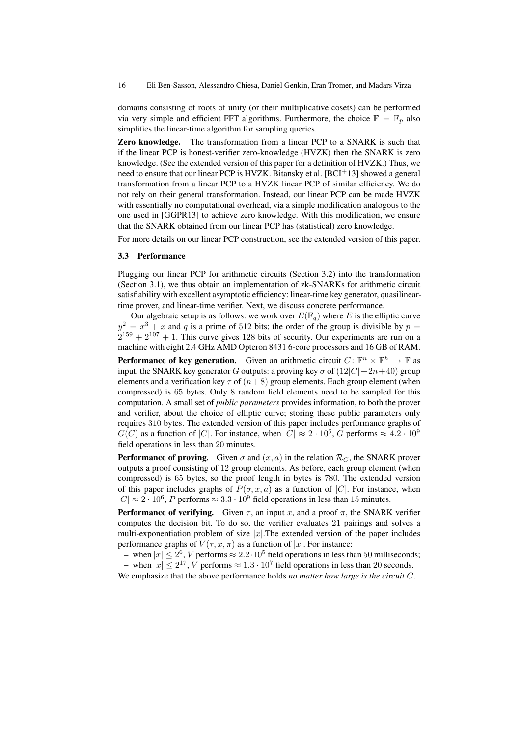domains consisting of roots of unity (or their multiplicative cosets) can be performed via very simple and efficient FFT algorithms. Furthermore, the choice  $\mathbb{F} = \mathbb{F}_p$  also simplifies the linear-time algorithm for sampling queries.

Zero knowledge. The transformation from a linear PCP to a SNARK is such that if the linear PCP is honest-verifier zero-knowledge (HVZK) then the SNARK is zero knowledge. (See the extended version of this paper for a definition of HVZK.) Thus, we need to ensure that our linear PCP is HVZK. Bitansky et al. [BCI+13] showed a general transformation from a linear PCP to a HVZK linear PCP of similar efficiency. We do not rely on their general transformation. Instead, our linear PCP can be made HVZK with essentially no computational overhead, via a simple modification analogous to the one used in [GGPR13] to achieve zero knowledge. With this modification, we ensure that the SNARK obtained from our linear PCP has (statistical) zero knowledge.

For more details on our linear PCP construction, see the extended version of this paper.

#### 3.3 Performance

Plugging our linear PCP for arithmetic circuits (Section 3.2) into the transformation (Section 3.1), we thus obtain an implementation of zk-SNARKs for arithmetic circuit satisfiability with excellent asymptotic efficiency: linear-time key generator, quasilineartime prover, and linear-time verifier. Next, we discuss concrete performance.

Our algebraic setup is as follows: we work over  $E(\mathbb{F}_q)$  where E is the elliptic curve  $y^2 = x^3 + x$  and q is a prime of 512 bits; the order of the group is divisible by  $p =$  $2^{159} + 2^{107} + 1$ . This curve gives 128 bits of security. Our experiments are run on a machine with eight 2.4 GHz AMD Opteron 8431 6-core processors and 16 GB of RAM.

**Performance of key generation.** Given an arithmetic circuit  $C: \mathbb{F}^n \times \mathbb{F}^h \to \mathbb{F}$  as input, the SNARK key generator G outputs: a proving key  $\sigma$  of  $(12|C|+2n+40)$  group elements and a verification key  $\tau$  of  $(n+8)$  group elements. Each group element (when compressed) is 65 bytes. Only 8 random field elements need to be sampled for this computation. A small set of *public parameters* provides information, to both the prover and verifier, about the choice of elliptic curve; storing these public parameters only requires 310 bytes. The extended version of this paper includes performance graphs of  $G(C)$  as a function of |C|. For instance, when  $|C| \approx 2 \cdot 10^6$ , G performs  $\approx 4.2 \cdot 10^9$ field operations in less than 20 minutes.

**Performance of proving.** Given  $\sigma$  and  $(x, a)$  in the relation  $\mathcal{R}_C$ , the SNARK prover outputs a proof consisting of 12 group elements. As before, each group element (when compressed) is 65 bytes, so the proof length in bytes is 780. The extended version of this paper includes graphs of  $P(\sigma, x, a)$  as a function of |C|. For instance, when  $|C| \approx 2 \cdot 10^6$ , P performs  $\approx 3.3 \cdot 10^9$  field operations in less than 15 minutes.

**Performance of verifying.** Given  $\tau$ , an input x, and a proof  $\pi$ , the SNARK verifier computes the decision bit. To do so, the verifier evaluates 21 pairings and solves a multi-exponentiation problem of size  $|x|$ . The extended version of the paper includes performance graphs of  $V(\tau, x, \pi)$  as a function of |x|. For instance:

− when  $|x| \le 2^6$ , V performs  $\approx 2.2 \cdot 10^5$  field operations in less than 50 milliseconds; - when  $|x| \le 2^{17}$ , V performs  $\approx 1.3 \cdot 10^7$  field operations in less than 20 seconds.

We emphasize that the above performance holds *no matter how large is the circuit* C.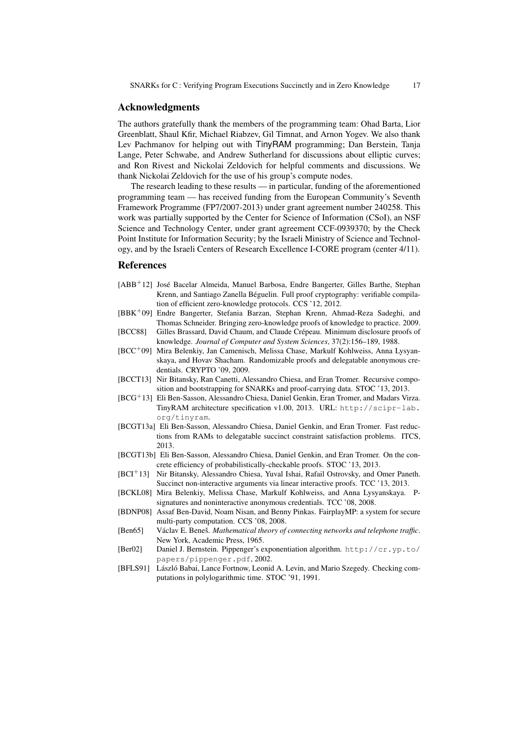#### Acknowledgments

The authors gratefully thank the members of the programming team: Ohad Barta, Lior Greenblatt, Shaul Kfir, Michael Riabzev, Gil Timnat, and Arnon Yogev. We also thank Lev Pachmanov for helping out with TinyRAM programming; Dan Berstein, Tanja Lange, Peter Schwabe, and Andrew Sutherland for discussions about elliptic curves; and Ron Rivest and Nickolai Zeldovich for helpful comments and discussions. We thank Nickolai Zeldovich for the use of his group's compute nodes.

The research leading to these results — in particular, funding of the aforementioned programming team — has received funding from the European Community's Seventh Framework Programme (FP7/2007-2013) under grant agreement number 240258. This work was partially supported by the Center for Science of Information (CSoI), an NSF Science and Technology Center, under grant agreement CCF-0939370; by the Check Point Institute for Information Security; by the Israeli Ministry of Science and Technology, and by the Israeli Centers of Research Excellence I-CORE program (center 4/11).

# References

- [ABB<sup>+</sup>12] Jose Bacelar Almeida, Manuel Barbosa, Endre Bangerter, Gilles Barthe, Stephan ´ Krenn, and Santiago Zanella Béguelin. Full proof cryptography: verifiable compilation of efficient zero-knowledge protocols. CCS '12, 2012.
- [BBK<sup>+</sup>09] Endre Bangerter, Stefania Barzan, Stephan Krenn, Ahmad-Reza Sadeghi, and Thomas Schneider. Bringing zero-knowledge proofs of knowledge to practice. 2009.
- [BCC88] Gilles Brassard, David Chaum, and Claude Crépeau. Minimum disclosure proofs of knowledge. *Journal of Computer and System Sciences*, 37(2):156–189, 1988.
- [BCC<sup>+</sup>09] Mira Belenkiy, Jan Camenisch, Melissa Chase, Markulf Kohlweiss, Anna Lysyanskaya, and Hovav Shacham. Randomizable proofs and delegatable anonymous credentials. CRYPTO '09, 2009.
- [BCCT13] Nir Bitansky, Ran Canetti, Alessandro Chiesa, and Eran Tromer. Recursive composition and bootstrapping for SNARKs and proof-carrying data. STOC '13, 2013.
- [BCG<sup>+</sup>13] Eli Ben-Sasson, Alessandro Chiesa, Daniel Genkin, Eran Tromer, and Madars Virza. TinyRAM architecture specification v1.00, 2013. URL: http://scipr-lab. org/tinyram.
- [BCGT13a] Eli Ben-Sasson, Alessandro Chiesa, Daniel Genkin, and Eran Tromer. Fast reductions from RAMs to delegatable succinct constraint satisfaction problems. ITCS, 2013.
- [BCGT13b] Eli Ben-Sasson, Alessandro Chiesa, Daniel Genkin, and Eran Tromer. On the concrete efficiency of probabilistically-checkable proofs. STOC '13, 2013.
- [BCI<sup>+</sup>13] Nir Bitansky, Alessandro Chiesa, Yuval Ishai, Rafail Ostrovsky, and Omer Paneth. Succinct non-interactive arguments via linear interactive proofs. TCC '13, 2013.
- [BCKL08] Mira Belenkiy, Melissa Chase, Markulf Kohlweiss, and Anna Lysyanskaya. Psignatures and noninteractive anonymous credentials. TCC '08, 2008.
- [BDNP08] Assaf Ben-David, Noam Nisan, and Benny Pinkas. FairplayMP: a system for secure multi-party computation. CCS '08, 2008.
- [Ben65] Václav E. Beneš. *Mathematical theory of connecting networks and telephone traffic*. New York, Academic Press, 1965.
- [Ber02] Daniel J. Bernstein. Pippenger's exponentiation algorithm. http://cr.yp.to/ papers/pippenger.pdf, 2002.
- [BFLS91] László Babai, Lance Fortnow, Leonid A. Levin, and Mario Szegedy. Checking computations in polylogarithmic time. STOC '91, 1991.